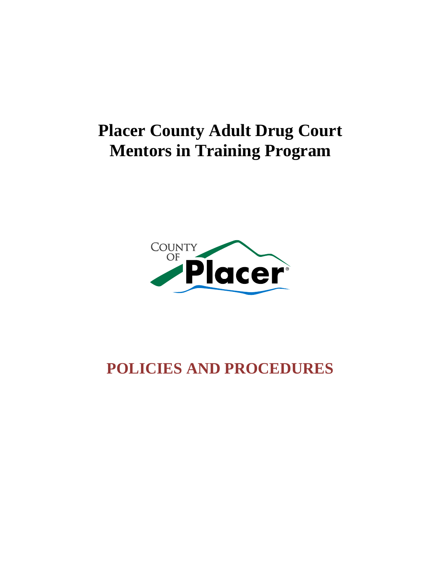# **Placer County Adult Drug Court Mentors in Training Program**



# **POLICIES AND PROCEDURES**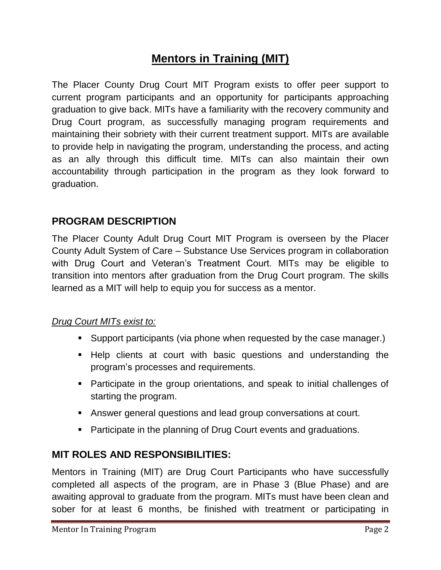# **Mentors in Training (MIT)**

The Placer County Drug Court MIT Program exists to offer peer support to current program participants and an opportunity for participants approaching graduation to give back. MITs have a familiarity with the recovery community and Drug Court program, as successfully managing program requirements and maintaining their sobriety with their current treatment support. MITs are available to provide help in navigating the program, understanding the process, and acting as an ally through this difficult time. MITs can also maintain their own accountability through participation in the program as they look forward to graduation.

### **PROGRAM DESCRIPTION**

The Placer County Adult Drug Court MIT Program is overseen by the Placer County Adult System of Care – Substance Use Services program in collaboration with Drug Court and Veteran's Treatment Court. MITs may be eligible to transition into mentors after graduation from the Drug Court program. The skills learned as a MIT will help to equip you for success as a mentor.

### *Drug Court MITs exist to:*

- **Support participants (via phone when requested by the case manager.)**
- Help clients at court with basic questions and understanding the program's processes and requirements.
- Participate in the group orientations, and speak to initial challenges of starting the program.
- Answer general questions and lead group conversations at court.
- **Participate in the planning of Drug Court events and graduations.**

### **MIT ROLES AND RESPONSIBILITIES:**

Mentors in Training (MIT) are Drug Court Participants who have successfully completed all aspects of the program, are in Phase 3 (Blue Phase) and are awaiting approval to graduate from the program. MITs must have been clean and sober for at least 6 months, be finished with treatment or participating in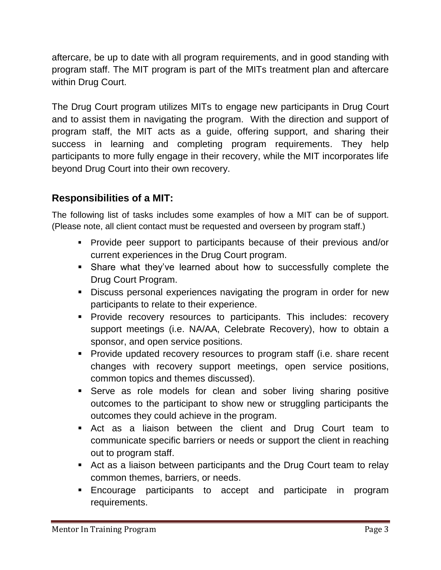aftercare, be up to date with all program requirements, and in good standing with program staff. The MIT program is part of the MITs treatment plan and aftercare within Drug Court.

The Drug Court program utilizes MITs to engage new participants in Drug Court and to assist them in navigating the program. With the direction and support of program staff, the MIT acts as a guide, offering support, and sharing their success in learning and completing program requirements. They help participants to more fully engage in their recovery, while the MIT incorporates life beyond Drug Court into their own recovery.

# **Responsibilities of a MIT:**

The following list of tasks includes some examples of how a MIT can be of support. (Please note, all client contact must be requested and overseen by program staff.)

- Provide peer support to participants because of their previous and/or current experiences in the Drug Court program.
- Share what they've learned about how to successfully complete the Drug Court Program.
- Discuss personal experiences navigating the program in order for new participants to relate to their experience.
- **Provide recovery resources to participants. This includes: recovery** support meetings (i.e. NA/AA, Celebrate Recovery), how to obtain a sponsor, and open service positions.
- **Provide updated recovery resources to program staff (i.e. share recent** changes with recovery support meetings, open service positions, common topics and themes discussed).
- Serve as role models for clean and sober living sharing positive outcomes to the participant to show new or struggling participants the outcomes they could achieve in the program.
- Act as a liaison between the client and Drug Court team to communicate specific barriers or needs or support the client in reaching out to program staff.
- Act as a liaison between participants and the Drug Court team to relay common themes, barriers, or needs.
- Encourage participants to accept and participate in program requirements.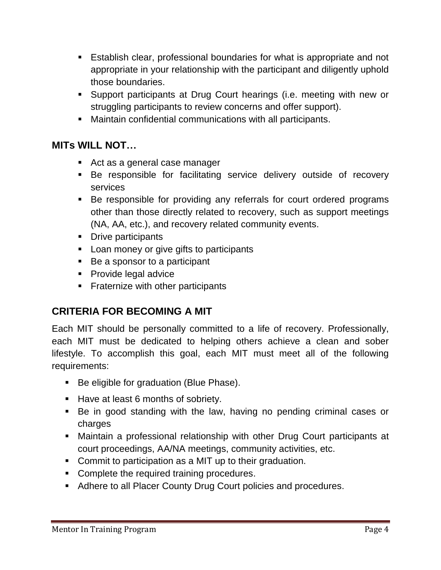- Establish clear, professional boundaries for what is appropriate and not appropriate in your relationship with the participant and diligently uphold those boundaries.
- Support participants at Drug Court hearings (i.e. meeting with new or struggling participants to review concerns and offer support).
- Maintain confidential communications with all participants.

# **MITs WILL NOT…**

- Act as a general case manager
- Be responsible for facilitating service delivery outside of recovery services
- Be responsible for providing any referrals for court ordered programs other than those directly related to recovery, such as support meetings (NA, AA, etc.), and recovery related community events.
- Drive participants
- **Loan money or give gifts to participants**
- Be a sponsor to a participant
- **Provide legal advice**
- **Fraternize with other participants**

# **CRITERIA FOR BECOMING A MIT**

Each MIT should be personally committed to a life of recovery. Professionally, each MIT must be dedicated to helping others achieve a clean and sober lifestyle. To accomplish this goal, each MIT must meet all of the following requirements:

- Be eligible for graduation (Blue Phase).
- Have at least 6 months of sobriety.
- Be in good standing with the law, having no pending criminal cases or charges
- Maintain a professional relationship with other Drug Court participants at court proceedings, AA/NA meetings, community activities, etc.
- Commit to participation as a MIT up to their graduation.
- Complete the required training procedures.
- Adhere to all Placer County Drug Court policies and procedures.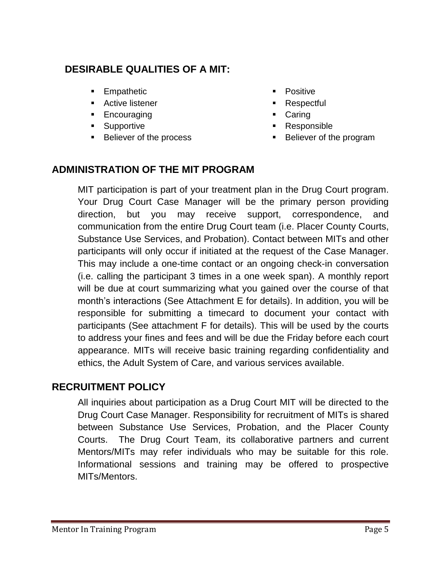# **DESIRABLE QUALITIES OF A MIT:**

- **Empathetic**
- **Active listener**
- **Encouraging**
- **Supportive**
- Believer of the process
- Positive
- **Respectful**
- **Caring**
- Responsible
- Believer of the program

## **ADMINISTRATION OF THE MIT PROGRAM**

MIT participation is part of your treatment plan in the Drug Court program. Your Drug Court Case Manager will be the primary person providing direction, but you may receive support, correspondence, and communication from the entire Drug Court team (i.e. Placer County Courts, Substance Use Services, and Probation). Contact between MITs and other participants will only occur if initiated at the request of the Case Manager. This may include a one-time contact or an ongoing check-in conversation (i.e. calling the participant 3 times in a one week span). A monthly report will be due at court summarizing what you gained over the course of that month's interactions (See Attachment E for details). In addition, you will be responsible for submitting a timecard to document your contact with participants (See attachment F for details). This will be used by the courts to address your fines and fees and will be due the Friday before each court appearance. MITs will receive basic training regarding confidentiality and ethics, the Adult System of Care, and various services available.

# **RECRUITMENT POLICY**

All inquiries about participation as a Drug Court MIT will be directed to the Drug Court Case Manager. Responsibility for recruitment of MITs is shared between Substance Use Services, Probation, and the Placer County Courts. The Drug Court Team, its collaborative partners and current Mentors/MITs may refer individuals who may be suitable for this role. Informational sessions and training may be offered to prospective MITs/Mentors.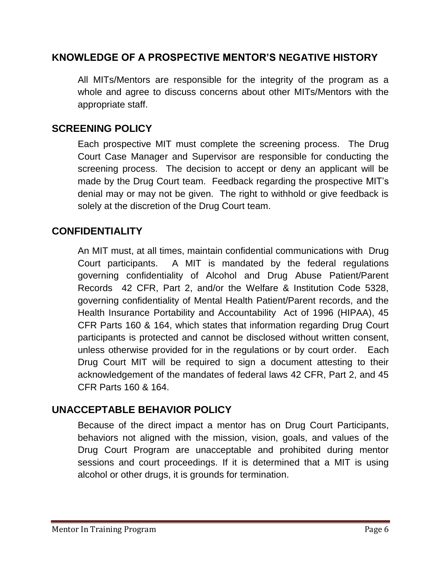### **KNOWLEDGE OF A PROSPECTIVE MENTOR'S NEGATIVE HISTORY**

All MITs/Mentors are responsible for the integrity of the program as a whole and agree to discuss concerns about other MITs/Mentors with the appropriate staff.

### **SCREENING POLICY**

Each prospective MIT must complete the screening process. The Drug Court Case Manager and Supervisor are responsible for conducting the screening process. The decision to accept or deny an applicant will be made by the Drug Court team. Feedback regarding the prospective MIT's denial may or may not be given. The right to withhold or give feedback is solely at the discretion of the Drug Court team.

### **CONFIDENTIALITY**

An MIT must, at all times, maintain confidential communications with Drug Court participants. A MIT is mandated by the federal regulations governing confidentiality of Alcohol and Drug Abuse Patient/Parent Records 42 CFR, Part 2, and/or the Welfare & Institution Code 5328, governing confidentiality of Mental Health Patient/Parent records, and the Health Insurance Portability and Accountability Act of 1996 (HIPAA), 45 CFR Parts 160 & 164, which states that information regarding Drug Court participants is protected and cannot be disclosed without written consent, unless otherwise provided for in the regulations or by court order. Each Drug Court MIT will be required to sign a document attesting to their acknowledgement of the mandates of federal laws 42 CFR, Part 2, and 45 CFR Parts 160 & 164.

### **UNACCEPTABLE BEHAVIOR POLICY**

Because of the direct impact a mentor has on Drug Court Participants, behaviors not aligned with the mission, vision, goals, and values of the Drug Court Program are unacceptable and prohibited during mentor sessions and court proceedings. If it is determined that a MIT is using alcohol or other drugs, it is grounds for termination.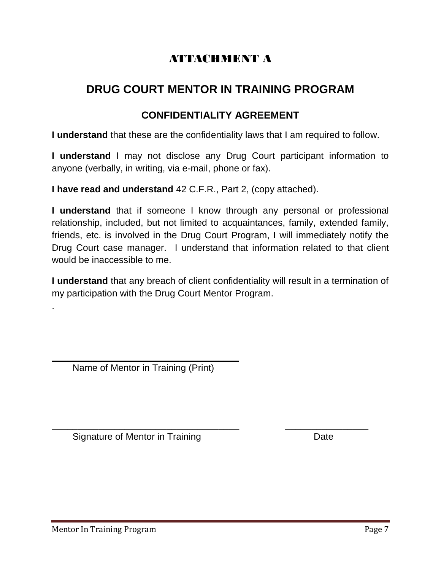# ATTACHMENT A

# **DRUG COURT MENTOR IN TRAINING PROGRAM**

## **CONFIDENTIALITY AGREEMENT**

**I understand** that these are the confidentiality laws that I am required to follow.

**I understand** I may not disclose any Drug Court participant information to anyone (verbally, in writing, via e-mail, phone or fax).

**I have read and understand** 42 C.F.R., Part 2, (copy attached).

**I understand** that if someone I know through any personal or professional relationship, included, but not limited to acquaintances, family, extended family, friends, etc. is involved in the Drug Court Program, I will immediately notify the Drug Court case manager. I understand that information related to that client would be inaccessible to me.

**I understand** that any breach of client confidentiality will result in a termination of my participation with the Drug Court Mentor Program.

**\_\_\_\_\_\_\_\_\_\_\_\_\_\_\_\_\_\_\_\_\_\_\_\_\_\_\_\_\_\_\_\_\_\_\_\_ \_\_\_\_\_\_\_\_\_\_\_\_\_\_\_\_**

**\_\_\_\_\_\_\_\_\_\_\_\_\_\_\_\_\_\_\_\_\_\_\_\_\_\_\_\_\_\_\_\_\_\_\_\_** Name of Mentor in Training (Print)

Signature of Mentor in Training **Date** Date

.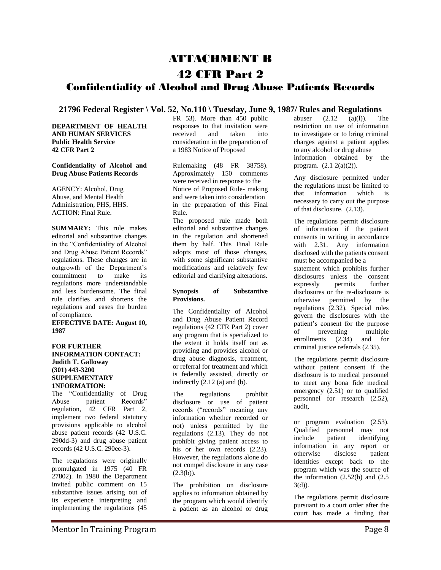## ATTACHMENT B

### 42 CFR Part 2

### Confidentiality of Alcohol and Drug Abuse Patients Records

**21796 Federal Register \ Vol. 52, No.110 \ Tuesday, June 9, 1987/ Rules and Regulations**

**DEPARTMENT OF HEALTH AND HUMAN SERVICES Public Health Service 42 CFR Part 2**

#### **Confidentiality of Alcohol and Drug Abuse Patients Records**

AGENCY: Alcohol, Drug Abuse, and Mental Health Administration, PHS, HHS. ACTION: Final Rule.

**SUMMARY:** This rule makes editorial and substantive changes in the "Confidentiality of Alcohol and Drug Abuse Patient Records" regulations. These changes are in outgrowth of the Department's commitment to make its regulations more understandable and less burdensome. The final rule clarifies and shortens the regulations and eases the burden of compliance.

**EFFECTIVE DATE: August 10, 1987**

#### **FOR FURTHER INFORMATION CONTACT: Judith T. Galloway (301) 443-3200 SUPPLEMENTARY 1NFORMATION:**

The "Confidentiality of Drug Abuse patient Records" regulation, 42 CFR Part 2, implement two federal statutory provisions applicable to alcohol abuse patient records (42 U.S.C. 290dd-3) and drug abuse patient records (42 U.S.C. 290ee-3).

The regulations were originally promulgated in 1975 (40 FR 27802). In 1980 the Department invited public comment on 15 substantive issues arising out of its experience interpreting and implementing the regulations (45

FR 53). More than 450 public responses to that invitation were received and taken into consideration in the preparation of a 1983 Notice of Proposed

Rulemaking (48 FR 38758). Approximately 150 comments were received in response to the Notice of Proposed Rule- making and were taken into consideration in the preparation of this Final Rule.

The proposed rule made both editorial and substantive changes in the regulation and shortened them by half. This Final Rule adopts most of those changes, with some significant substantive modifications and relatively few editorial and clarifying alterations.

#### **Synopsis of Substantive Provisions.**

The Confidentiality of Alcohol and Drug Abuse Patient Record regulations (42 CFR Part 2) cover any program that is specialized to the extent it holds itself out as providing and provides alcohol or drug abuse diagnosis, treatment, or referral for treatment and which is federally assisted, directly or indirectly (2.12 (a) and (b).

The regulations prohibit disclosure or use of patient records ("records" meaning any information whether recorded or not) unless permitted by the regulations (2.13). They do not prohibit giving patient access to his or her own records  $(2.23)$ . However, the regulations alone do not compel disclosure in any case  $(2.3(b))$ .

The prohibition on disclosure applies to information obtained by the program which would identify a patient as an alcohol or drug

 $(a)(l)$ . The restriction on use of information to investigate or to bring criminal charges against a patient applies to any alcohol or drug abuse information obtained by the program. (2.1 2(a)(2)).

Any disclosure permitted under the regulations must be limited to that information which is necessary to carry out the purpose of that disclosure. (2.13).

The regulations permit disclosure of information if the patient consents in writing in accordance with 2.31. Any information disclosed with the patients consent must be accompanied be a statement which prohibits further disclosures unless the consent<br>expressly permits further expressly permits further disclosures or the re-disclosure is otherwise permitted by the regulations (2.32). Special rules govern the disclosures with the patient's consent for the purpose of preventing multiple enrollments (2.34) and for criminal justice referrals (2.35).

The regulations permit disclosure without patient consent if the disclosure is to medical personnel to meet any bona fide medical emergency (2.51) or to qualified personnel for research (2.52), audit,

or program evaluation (2.53). Qualified personnel may not include patient identifying information in any report or otherwise disclose patient identities except back to the program which was the source of the information  $(2.52(b)$  and  $(2.5$  $3(d)$ ).

The regulations permit disclosure pursuant to a court order after the court has made a finding that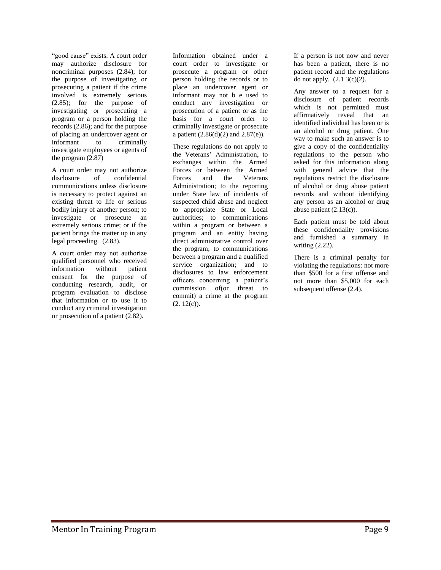"good cause" exists. A court order may authorize disclosure for noncriminal purposes (2.84); for the purpose of investigating or prosecuting a patient if the crime involved is extremely serious (2.85); for the purpose of investigating or prosecuting a program or a person holding the records (2.86); and for the purpose of placing an undercover agent or informant to criminally investigate employees or agents of the program (2.87)

A court order may not authorize disclosure of confidential communications unless disclosure is necessary to protect against an existing threat to life or serious bodily injury of another person; to investigate or prosecute an extremely serious crime; or if the patient brings the matter up in any legal proceeding. (2.83).

A court order may not authorize qualified personnel who received<br>information without patient information without patient consent for the purpose of conducting research, audit, or program evaluation to disclose that information or to use it to conduct any criminal investigation or prosecution of a patient (2.82).

Information obtained under a court order to investigate or prosecute a program or other person holding the records or to place an undercover agent or informant may not b e used to conduct any investigation or prosecution of a patient or as the basis for a court order to criminally investigate or prosecute a patient  $(2.86(d)(2)$  and  $2.87(e)$ ).

These regulations do not apply to the Veterans' Administration, to exchanges within the Armed Forces or between the Armed Forces and the Veterans Administration; to the reporting under State law of incidents of suspected child abuse and neglect to appropriate State or Local authorities; to communications within a program or between a program and an entity having direct administrative control over the program; to communications between a program and a qualified service organization; and to disclosures to law enforcement officers concerning a patient's commission of(or threat to commit) a crime at the program  $(2. 12(c))$ .

If a person is not now and never has been a patient, there is no patient record and the regulations do not apply. (2.1 3(c)(2).

Any answer to a request for a disclosure of patient records which is not permitted must affirmatively reveal that an identified individual has been or is an alcohol or drug patient. One way to make such an answer is to give a copy of the confidentiality regulations to the person who asked for this information along with general advice that the regulations restrict the disclosure of alcohol or drug abuse patient records and without identifying any person as an alcohol or drug abuse patient  $(2.13(c))$ .

Each patient must be told about these confidentiality provisions and furnished a summary in writing (2.22).

There is a criminal penalty for violating the regulations: not more than \$500 for a first offense and not more than \$5,000 for each subsequent offense (2.4).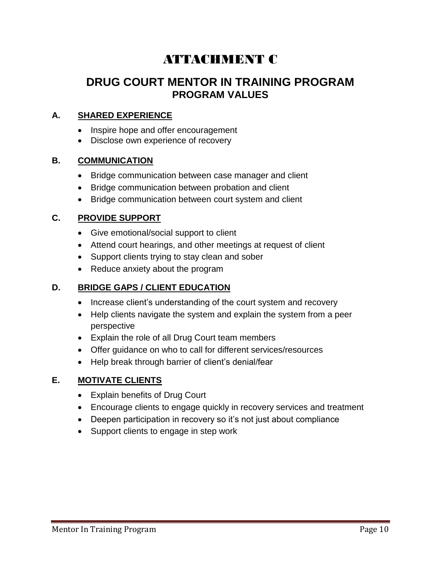# ATTACHMENT C

## **DRUG COURT MENTOR IN TRAINING PROGRAM PROGRAM VALUES**

### **A. SHARED EXPERIENCE**

- Inspire hope and offer encouragement
- Disclose own experience of recovery

### **B. COMMUNICATION**

- Bridge communication between case manager and client
- Bridge communication between probation and client
- Bridge communication between court system and client

### **C. PROVIDE SUPPORT**

- Give emotional/social support to client
- Attend court hearings, and other meetings at request of client
- Support clients trying to stay clean and sober
- Reduce anxiety about the program

### **D. BRIDGE GAPS / CLIENT EDUCATION**

- Increase client's understanding of the court system and recovery
- Help clients navigate the system and explain the system from a peer perspective
- Explain the role of all Drug Court team members
- Offer guidance on who to call for different services/resources
- Help break through barrier of client's denial/fear

### **E. MOTIVATE CLIENTS**

- Explain benefits of Drug Court
- Encourage clients to engage quickly in recovery services and treatment
- Deepen participation in recovery so it's not just about compliance
- Support clients to engage in step work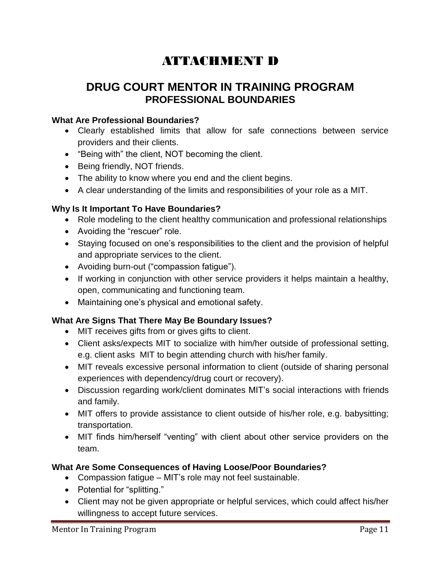# ATTACHMENT D

## **DRUG COURT MENTOR IN TRAINING PROGRAM PROFESSIONAL BOUNDARIES**

### **What Are Professional Boundaries?**

- Clearly established limits that allow for safe connections between service providers and their clients.
- "Being with" the client, NOT becoming the client.
- Being friendly, NOT friends.
- The ability to know where you end and the client begins.
- A clear understanding of the limits and responsibilities of your role as a MIT.

### **Why Is It Important To Have Boundaries?**

- Role modeling to the client healthy communication and professional relationships
- Avoiding the "rescuer" role.
- Staying focused on one's responsibilities to the client and the provision of helpful and appropriate services to the client.
- Avoiding burn-out ("compassion fatigue").
- If working in conjunction with other service providers it helps maintain a healthy, open, communicating and functioning team.
- Maintaining one's physical and emotional safety.

### **What Are Signs That There May Be Boundary Issues?**

- MIT receives gifts from or gives gifts to client.
- Client asks/expects MIT to socialize with him/her outside of professional setting, e.g. client asks MIT to begin attending church with his/her family.
- MIT reveals excessive personal information to client (outside of sharing personal experiences with dependency/drug court or recovery).
- Discussion regarding work/client dominates MIT's social interactions with friends and family.
- MIT offers to provide assistance to client outside of his/her role, e.g. babysitting; transportation.
- MIT finds him/herself "venting" with client about other service providers on the team.

### **What Are Some Consequences of Having Loose/Poor Boundaries?**

- Compassion fatigue MIT's role may not feel sustainable.
- Potential for "splitting."
- Client may not be given appropriate or helpful services, which could affect his/her willingness to accept future services.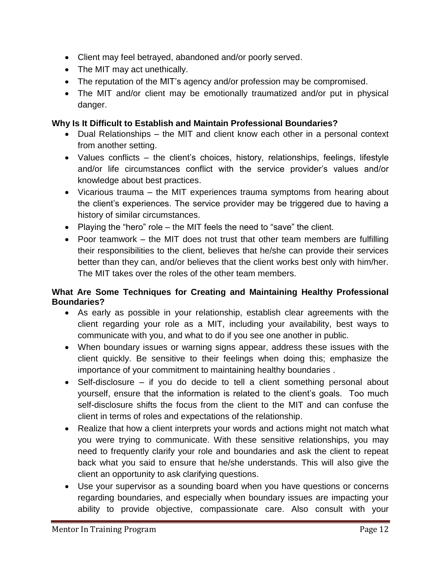- Client may feel betrayed, abandoned and/or poorly served.
- The MIT may act unethically.
- The reputation of the MIT's agency and/or profession may be compromised.
- The MIT and/or client may be emotionally traumatized and/or put in physical danger.

### **Why Is It Difficult to Establish and Maintain Professional Boundaries?**

- Dual Relationships the MIT and client know each other in a personal context from another setting.
- Values conflicts the client's choices, history, relationships, feelings, lifestyle and/or life circumstances conflict with the service provider's values and/or knowledge about best practices.
- Vicarious trauma the MIT experiences trauma symptoms from hearing about the client's experiences. The service provider may be triggered due to having a history of similar circumstances.
- Playing the "hero" role  $-$  the MIT feels the need to "save" the client.
- Poor teamwork the MIT does not trust that other team members are fulfilling their responsibilities to the client, believes that he/she can provide their services better than they can, and/or believes that the client works best only with him/her. The MIT takes over the roles of the other team members.

### **What Are Some Techniques for Creating and Maintaining Healthy Professional Boundaries?**

- As early as possible in your relationship, establish clear agreements with the client regarding your role as a MIT, including your availability, best ways to communicate with you, and what to do if you see one another in public.
- When boundary issues or warning signs appear, address these issues with the client quickly. Be sensitive to their feelings when doing this; emphasize the importance of your commitment to maintaining healthy boundaries .
- Self-disclosure if you do decide to tell a client something personal about yourself, ensure that the information is related to the client's goals. Too much self-disclosure shifts the focus from the client to the MIT and can confuse the client in terms of roles and expectations of the relationship.
- Realize that how a client interprets your words and actions might not match what you were trying to communicate. With these sensitive relationships, you may need to frequently clarify your role and boundaries and ask the client to repeat back what you said to ensure that he/she understands. This will also give the client an opportunity to ask clarifying questions.
- Use your supervisor as a sounding board when you have questions or concerns regarding boundaries, and especially when boundary issues are impacting your ability to provide objective, compassionate care. Also consult with your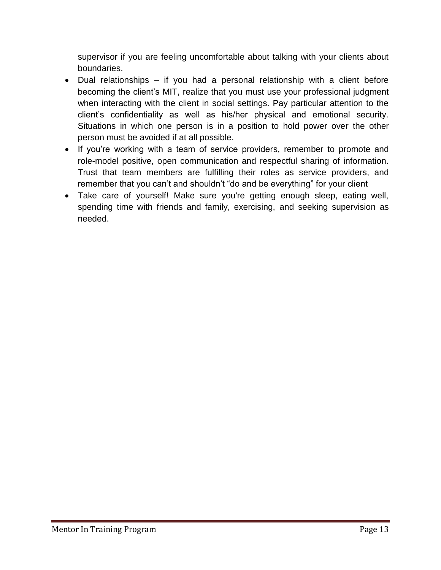supervisor if you are feeling uncomfortable about talking with your clients about boundaries.

- Dual relationships if you had a personal relationship with a client before becoming the client's MIT, realize that you must use your professional judgment when interacting with the client in social settings. Pay particular attention to the client's confidentiality as well as his/her physical and emotional security. Situations in which one person is in a position to hold power over the other person must be avoided if at all possible.
- If you're working with a team of service providers, remember to promote and role-model positive, open communication and respectful sharing of information. Trust that team members are fulfilling their roles as service providers, and remember that you can't and shouldn't "do and be everything" for your client
- Take care of yourself! Make sure you're getting enough sleep, eating well, spending time with friends and family, exercising, and seeking supervision as needed.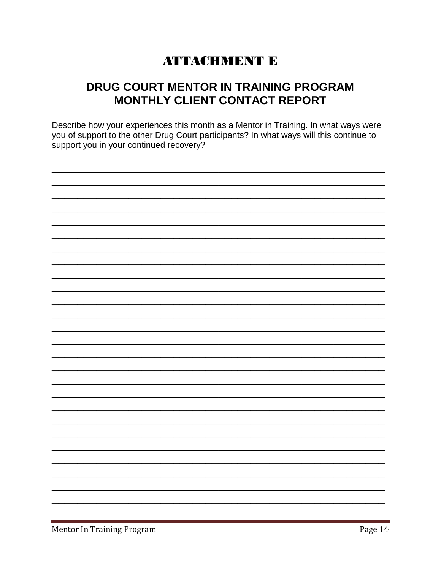# **ATTACHMENT E**

# DRUG COURT MENTOR IN TRAINING PROGRAM MONTHLY CLIENT CONTACT REPORT

Describe how your experiences this month as a Mentor in Training. In what ways were you of support to the other Drug Court participants? In what ways will this continue to support you in your continued recovery?